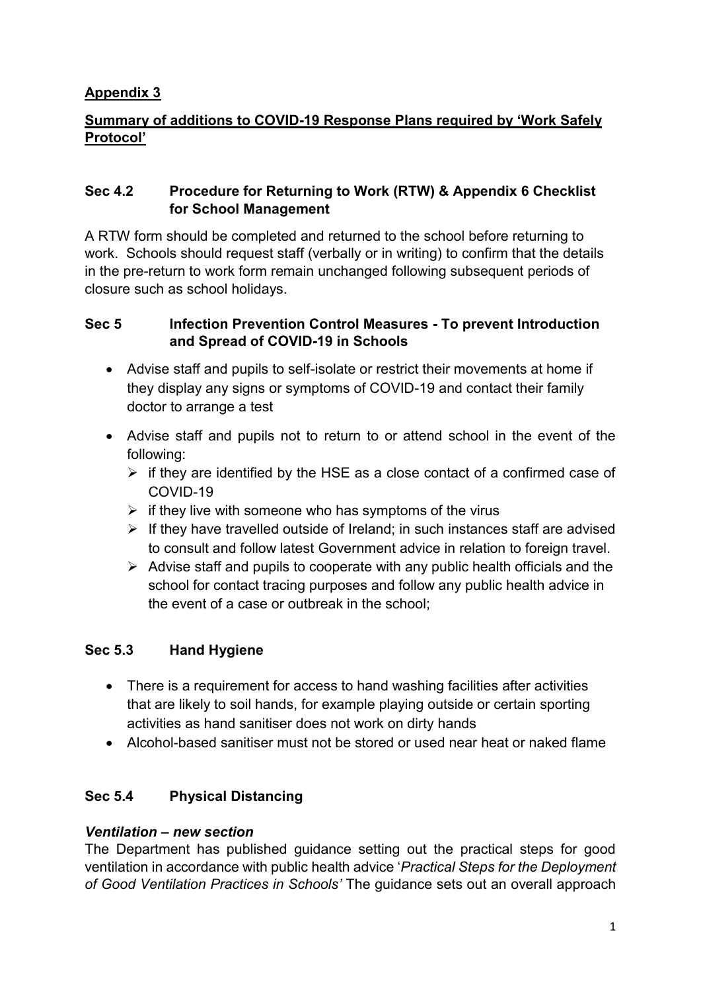## **Appendix 3**

## **Summary of additions to COVID-19 Response Plans required by 'Work Safely Protocol'**

#### **Sec 4.2 Procedure for Returning to Work (RTW) & Appendix 6 Checklist for School Management**

A RTW form should be completed and returned to the school before returning to work. Schools should request staff (verbally or in writing) to confirm that the details in the pre-return to work form remain unchanged following subsequent periods of closure such as school holidays.

#### **Sec 5 Infection Prevention Control Measures - To prevent Introduction and Spread of COVID-19 in Schools**

- Advise staff and pupils to self-isolate or restrict their movements at home if they display any signs or symptoms of COVID-19 and contact their family doctor to arrange a test
- Advise staff and pupils not to return to or attend school in the event of the following:
	- $\triangleright$  if they are identified by the HSE as a close contact of a confirmed case of COVID-19
	- $\triangleright$  if they live with someone who has symptoms of the virus
	- $\triangleright$  If they have travelled outside of Ireland; in such instances staff are advised to consult and follow latest Government advice in relation to foreign travel.
	- $\triangleright$  Advise staff and pupils to cooperate with any public health officials and the school for contact tracing purposes and follow any public health advice in the event of a case or outbreak in the school;

## **Sec 5.3 Hand Hygiene**

- There is a requirement for access to hand washing facilities after activities that are likely to soil hands, for example playing outside or certain sporting activities as hand sanitiser does not work on dirty hands
- Alcohol-based sanitiser must not be stored or used near heat or naked flame

## **Sec 5.4 Physical Distancing**

#### *Ventilation – new section*

The Department has published guidance setting out the practical steps for good ventilation in accordance with public health advice '*Practical Steps for the Deployment of Good Ventilation Practices in Schools'* The guidance sets out an overall approach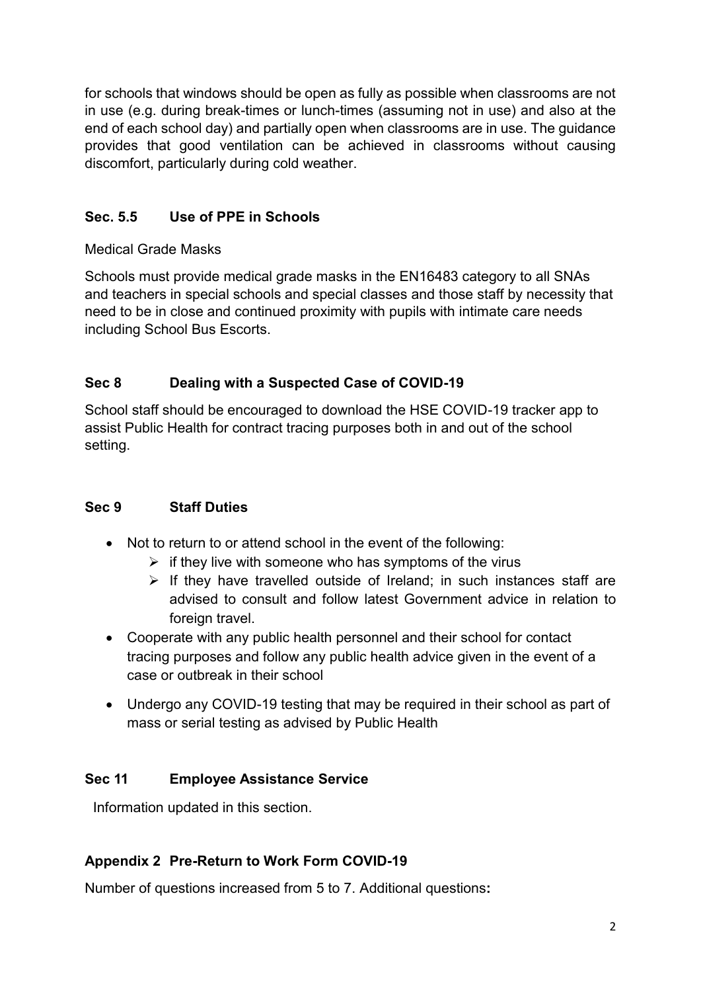for schools that windows should be open as fully as possible when classrooms are not in use (e.g. during break-times or lunch-times (assuming not in use) and also at the end of each school day) and partially open when classrooms are in use. The guidance provides that good ventilation can be achieved in classrooms without causing discomfort, particularly during cold weather.

# **Sec. 5.5 Use of PPE in Schools**

Medical Grade Masks

Schools must provide medical grade masks in the EN16483 category to all SNAs and teachers in special schools and special classes and those staff by necessity that need to be in close and continued proximity with pupils with intimate care needs including School Bus Escorts.

## **Sec 8 Dealing with a Suspected Case of COVID-19**

School staff should be encouraged to download the HSE COVID-19 tracker app to assist Public Health for contract tracing purposes both in and out of the school setting.

## **Sec 9 Staff Duties**

- Not to return to or attend school in the event of the following:
	- $\triangleright$  if they live with someone who has symptoms of the virus
	- $\triangleright$  If they have travelled outside of Ireland; in such instances staff are advised to consult and follow latest Government advice in relation to foreign travel.
- Cooperate with any public health personnel and their school for contact tracing purposes and follow any public health advice given in the event of a case or outbreak in their school
- Undergo any COVID-19 testing that may be required in their school as part of mass or serial testing as advised by Public Health

## **Sec 11 Employee Assistance Service**

Information updated in this section.

# **Appendix 2 Pre-Return to Work Form COVID-19**

Number of questions increased from 5 to 7. Additional questions**:**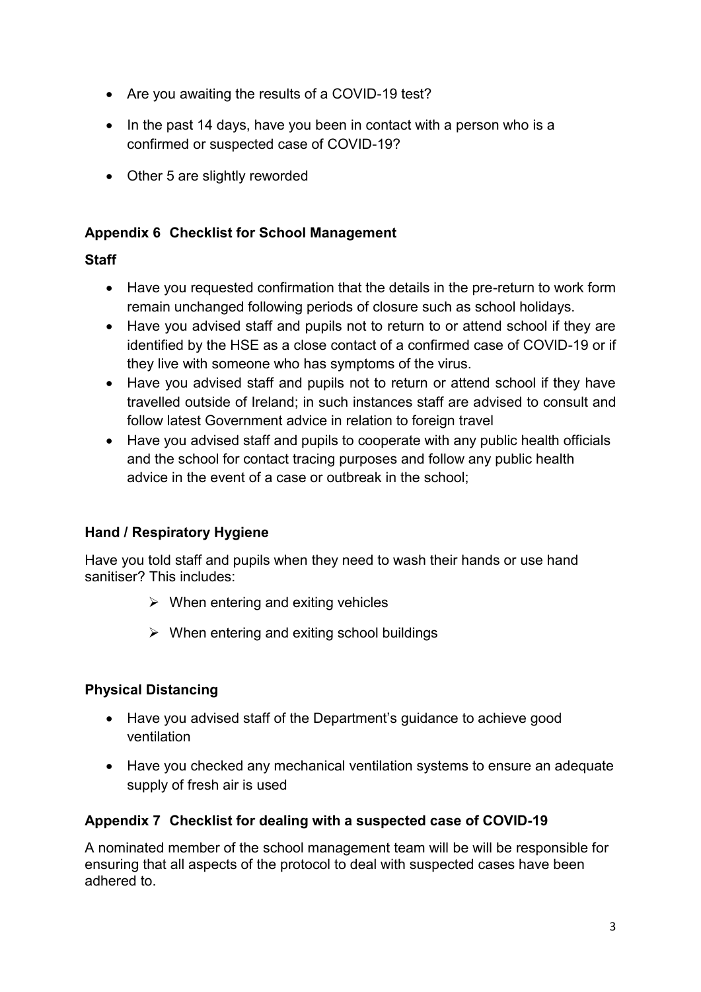- Are you awaiting the results of a COVID-19 test?
- $\bullet$  In the past 14 days, have you been in contact with a person who is a confirmed or suspected case of COVID-19?
- Other 5 are slightly reworded

#### **Appendix 6 Checklist for School Management**

#### **Staff**

- Have you requested confirmation that the details in the pre-return to work form remain unchanged following periods of closure such as school holidays.
- Have you advised staff and pupils not to return to or attend school if they are identified by the HSE as a close contact of a confirmed case of COVID-19 or if they live with someone who has symptoms of the virus.
- Have you advised staff and pupils not to return or attend school if they have travelled outside of Ireland; in such instances staff are advised to consult and follow latest Government advice in relation to foreign travel
- Have you advised staff and pupils to cooperate with any public health officials and the school for contact tracing purposes and follow any public health advice in the event of a case or outbreak in the school;

## **Hand / Respiratory Hygiene**

Have you told staff and pupils when they need to wash their hands or use hand sanitiser? This includes:

- $\triangleright$  When entering and exiting vehicles
- $\triangleright$  When entering and exiting school buildings

## **Physical Distancing**

- Have you advised staff of the Department's guidance to achieve good ventilation
- Have you checked any mechanical ventilation systems to ensure an adequate supply of fresh air is used

## **Appendix 7 Checklist for dealing with a suspected case of COVID-19**

A nominated member of the school management team will be will be responsible for ensuring that all aspects of the protocol to deal with suspected cases have been adhered to.